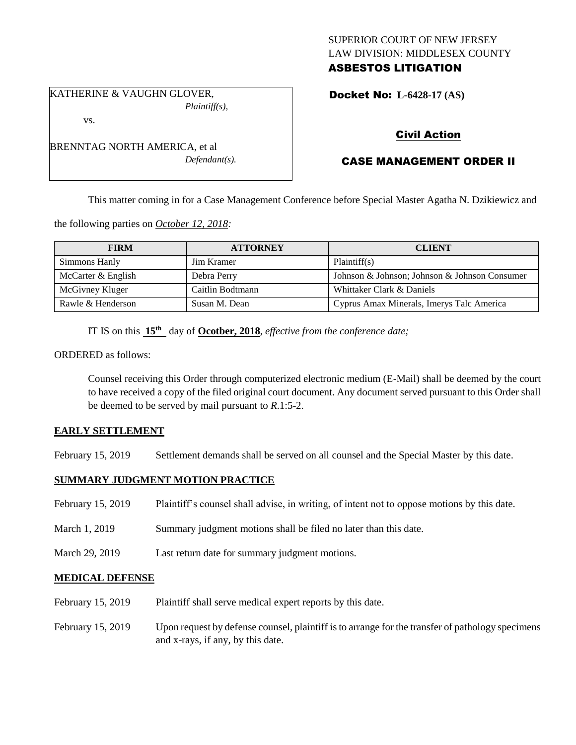### SUPERIOR COURT OF NEW JERSEY LAW DIVISION: MIDDLESEX COUNTY ASBESTOS LITIGATION

KATHERINE & VAUGHN GLOVER, *Plaintiff(s),*

vs.

BRENNTAG NORTH AMERICA, et al *Defendant(s).*

# Docket No: **L-6428-17 (AS)**

# Civil Action

# CASE MANAGEMENT ORDER II

This matter coming in for a Case Management Conference before Special Master Agatha N. Dzikiewicz and

the following parties on *October 12, 2018:*

| <b>FIRM</b>        | <b>ATTORNEY</b>  | <b>CLIENT</b>                                 |
|--------------------|------------------|-----------------------------------------------|
| Simmons Hanly      | Jim Kramer       | Plaintiff(s)                                  |
| McCarter & English | Debra Perry      | Johnson & Johnson; Johnson & Johnson Consumer |
| McGivney Kluger    | Caitlin Bodtmann | Whittaker Clark & Daniels                     |
| Rawle & Henderson  | Susan M. Dean    | Cyprus Amax Minerals, Imerys Talc America     |

IT IS on this **15th** day of **Ocotber, 2018**, *effective from the conference date;*

ORDERED as follows:

Counsel receiving this Order through computerized electronic medium (E-Mail) shall be deemed by the court to have received a copy of the filed original court document. Any document served pursuant to this Order shall be deemed to be served by mail pursuant to *R*.1:5-2.

### **EARLY SETTLEMENT**

February 15, 2019 Settlement demands shall be served on all counsel and the Special Master by this date.

### **SUMMARY JUDGMENT MOTION PRACTICE**

| February 15, 2019 | Plaintiff's counsel shall advise, in writing, of intent not to oppose motions by this date. |
|-------------------|---------------------------------------------------------------------------------------------|
| March 1, 2019     | Summary judgment motions shall be filed no later than this date.                            |
| March 29, 2019    | Last return date for summary judgment motions.                                              |

### **MEDICAL DEFENSE**

- February 15, 2019 Plaintiff shall serve medical expert reports by this date.
- February 15, 2019 Upon request by defense counsel, plaintiff is to arrange for the transfer of pathology specimens and x-rays, if any, by this date.